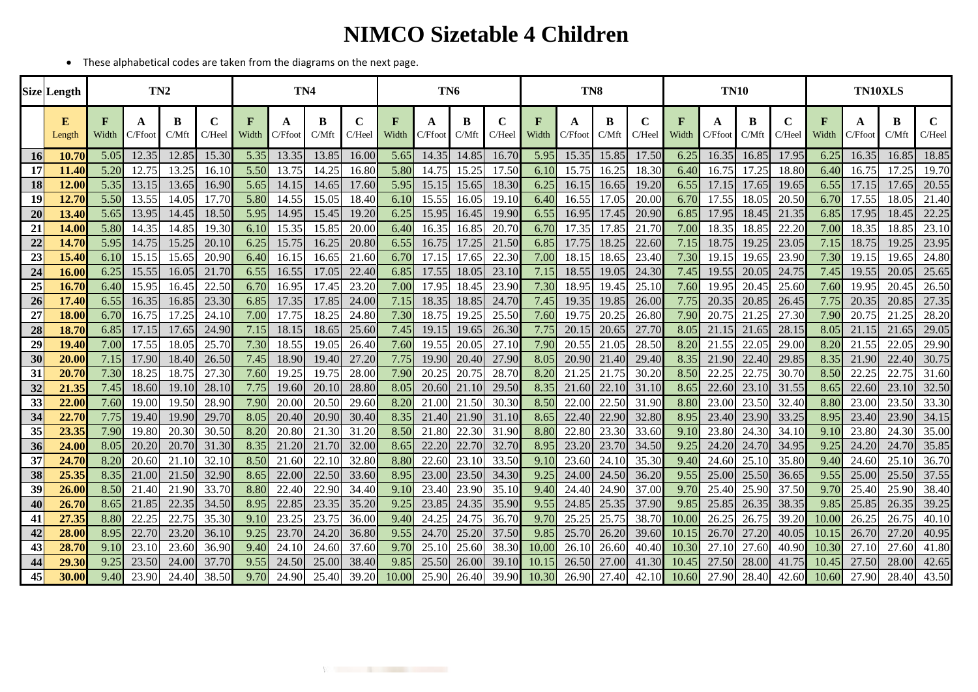## **NIMCO Sizetable 4 Children**

• These alphabetical codes are taken from the diagrams on the next page.

|           | <b>Size</b> Length | TN <sub>2</sub>       |              |            |                       | TN <sub>4</sub> |              |            |                       | TN <sub>6</sub>       |              |            |             | TN <sub>8</sub> |              |            |                       | <b>TN10</b>           |              |            |                       | TN10XLS              |              |            |             |
|-----------|--------------------|-----------------------|--------------|------------|-----------------------|-----------------|--------------|------------|-----------------------|-----------------------|--------------|------------|-------------|-----------------|--------------|------------|-----------------------|-----------------------|--------------|------------|-----------------------|----------------------|--------------|------------|-------------|
|           | E<br>Length        | $\mathbf{F}$<br>Width | A<br>C/Ffoot | B<br>C/Mft | $\mathbf C$<br>C/Heel | F<br>Width      | A<br>C/Ffoot | B<br>C/Mft | $\mathbf C$<br>C/Heel | $\mathbf{F}$<br>Width | A<br>C/Ffoot | B<br>C/Mft | C<br>C/Heel | F<br>Width      | A<br>C/Ffoot | B<br>C/Mft | $\mathbf C$<br>C/Heel | $\mathbf{F}$<br>Width | A<br>C/Ffoot | B<br>C/Mft | $\mathbf C$<br>C/Heel | $\mathbf F$<br>Width | A<br>C/Ffoot | B<br>C/Mft | C<br>C/Heel |
| <b>16</b> | 10.70              | 5.05                  | 12.35        | 12.85      | 15.30                 | 5.35            | 13.35        | 13.85      | 16.00                 | 5.65                  | 14.35        | 14.85      | 16.70       | 5.95            | 15.35        | 15.85      | 17.50                 | 6.25                  | 16.35        | 16.85      | 17.95                 | 6.25                 | 16.35        | 16.85      | 18.85       |
| 17        | 11.40              | 5.20                  | 12.75        | 13.25      | 16.10                 | 5.50            | 13.75        | 14.25      | 16.80                 | 5.80                  | 14.75        | 15.25      | 17.50       | 6.10            | 15.75        | 16.25      | 18.30                 | 6.40                  | 16.75        | 17.25      | 18.80                 | 6.40                 | 16.75        | 17.25      | 19.70       |
| <b>18</b> | 12.00              | 5.35                  | 13.15        | 13.65      | 16.90                 | 5.65            | 14.15        | 14.65      | 17.60                 | 5.95                  | 15.15        | 15.65      | 18.30       | 6.25            | 16.15        | 16.65      | 19.20                 | 6.55                  | 17.15        | 17.65      | 19.65                 | 6.55                 | 17.15        | 17.65      | 20.55       |
| 19        | 12.70              | 5.50                  | 13.55        | 14.05      | 17.70                 | 5.80            | 14.55        | 15.05      | 18.40                 | 6.10                  | 15.55        | 16.05      | 19.10       | 6.40            | 16.55        | 17.05      | 20.00                 | 6.70                  | 17.55        | 18.05      | 20.50                 | 6.70                 | 17.55        | 18.05      | 21.40       |
| 20        | 13.40              | 5.65                  | 13.95        | 14.45      | 18.50                 | 5.95            | 14.95        | 15.45      | 19.20                 | 6.25                  | 15.95        | 16.45      | 19.90       | 6.55            | 16.95        | 17.45      | 20.90                 | 6.85                  | 17.95        | 18.45      | 21.35                 | 6.85                 | 17.95        | 18.45      | 22.25       |
| 21        | 14.00              | 5.80                  | 14.35        | 14.85      | 19.30                 | 6.10            | 15.35        | 15.85      | 20.00                 | 6.40                  | 16.35        | 16.85      | 20.70       | 6.70            | 17.35        | 17.85      | 21.70                 | 7.00                  | 18.35        | 18.85      | 22.20                 | 7.00                 | 18.35        | 18.85      | 23.10       |
| 22        | 14.70              | 5.95                  | 14.75        | 15.25      | 20.10                 | 6.25            | 15.75        | 16.25      | 20.80                 | 6.55                  | 16.75        | 17.25      | 21.50       | 6.85            | 17.75        | 18.25      | 22.60                 | 7.15                  | 18.75        | 19.25      | 23.05                 | 7.15                 | 18.75        | 19.25      | 23.95       |
| 23        | 15.40              | 6.10                  | 15.15        | 15.65      | 20.90                 | 6.40            | 16.15        | 16.65      | 21.60                 | 6.70                  | 17.15        | 17.65      | 22.30       | 7.00            | 18.15        | 18.65      | 23.40                 | 7.30                  | 19.15        | 19.6       | 23.90                 | 7.30                 | 19.15        | 19.65      | 24.80       |
| 24        | 16.00              | 6.25                  | 15.55        | 16.05      | 21.70                 | 6.55            | 16.55        | 17.05      | 22.40                 | 6.85                  | 17.55        | 18.05      | 23.10       | 7.15            | 18.55        | 19.05      | 24.30                 | 7.45                  | 19.55        | 20.05      | 24.75                 | 7.45                 | 19.55        | 20.05      | 25.65       |
| 25        | 16.70              | 6.40                  | 15.95        | 16.45      | 22.50                 | 6.70            | 16.95        | 17.45      | 23.20                 | 7.00                  | 17.95        | 18.45      | 23.90       | 7.30            | 18.95        | 19.45      | 25.10                 | 7.60                  | 19.95        | 20.45      | 25.60                 | 7.60                 | 19.95        | 20.45      | 26.50       |
| 26        | 17.40              | 6.55                  | 16.35        | 16.85      | 23.30                 | 6.85            | 17.35        | 17.85      | 24.00                 | 7.15                  | 18.35        | 18.85      | 24.70       | 7.45            | 19.35        | 19.85      | 26.00                 | 7.75                  | 20.35        | 20.85      | 26.45                 | 7.75                 | 20.35        | 20.85      | 27.35       |
| 27        | 18.00              | 6.70                  | 16.75        | 17.25      | 24.10                 | 7.00            | 17.75        | 18.25      | 24.80                 | 7.30                  | 18.75        | 19.25      | 25.50       | 7.60            | 19.75        | 20.25      | 26.80                 | 7.90                  | 20.75        | 21.25      | 27.30                 | 7.90                 | 20.75        | 21.25      | 28.20       |
| 28        | 18.70              | 6.85                  | 17.15        | 17.65      | 24.90                 | 7.15            | 18.15        | 18.65      | 25.60                 | 7.45                  | 19.15        | 19.65      | 26.30       | 7.75            | 20.15        | 20.65      | 27.70                 | 8.05                  | 21.15        | 21.65      | 28.15                 | 8.05                 | 21.15        | 21.65      | 29.05       |
| 29        | 19.40              | 7.00                  | 17.55        | 18.05      | 25.70                 | 7.30            | 18.55        | 19.05      | 26.40                 | 7.60                  | 19.55        | 20.05      | 27.10       | 7.90            | 20.55        | 21.05      | 28.50                 | 8.20                  | 21.55        | 22.0       | 29.00                 | 8.20                 | 21.55        | 22.05      | 29.90       |
| 30        | 20.00              | 7.15                  | 17.90        | 18.40      | 26.50                 | 7.45            | 18.90        | 19.40      | 27.20                 | 7.75                  | 19.90        | 20.40      | 27.90       | 8.05            | 20.90        | 21.40      | 29.40                 | 8.35                  | 21.90        | 22.40      | 29.85                 | 8.35                 | 21.90        | 22.40      | 30.75       |
| 31        | 20.70              | 7.30                  | 18.25        | 18.75      | 27.30                 | 7.60            | 19.25        | 19.75      | 28.00                 | 7.90                  | 20.25        | 20.75      | 28.70       | 8.20            | 21.25        | 21.75      | 30.20                 | 8.50                  | 22.25        | 22.75      | 30.70                 | 8.50                 | 22.25        | 22.75      | 31.60       |
| 32        | 21.35              | 7.45                  | 18.60        | 19.10      | 28.10                 | 7.75            | 19.60        | 20.10      | 28.80                 | 8.05                  | 20.60        | 21.10      | 29.50       | 8.35            | 21.60        | 22.10      | 31.10                 | 8.65                  | 22.60        | 23.10      | 31.55                 | 8.65                 | 22.60        | 23.10      | 32.50       |
| 33        | 22.00              | 7.60                  | 19.00        | 19.50      | 28.90                 | 7.90            | 20.00        | 20.50      | 29.60                 | 8.20                  | 21.00        | 21.50      | 30.30       | 8.50            | 22.00        | 22.50      | 31.90                 | 8.80                  | 23.00        | 23.50      | 32.40                 | 8.80                 | 23.00        | 23.50      | 33.30       |
| 34        | 22.70              | 7.75                  | 19.40        | 19.90      | 29.70                 | 8.05            | 20.40        | 20.90      | 30.40                 | 8.35                  | 21.40        | 21.90      | 31.10       | 8.65            | 22.40        | 22.90      | 32.80                 | 8.95                  | 23.40        | 23.90      | 33.25                 | 8.95                 | 23.40        | 23.90      | 34.15       |
| 35        | 23.35              | 7.90                  | 19.80        | 20.30      | 30.50                 | 8.20            | 20.80        | 21.30      | 31.20                 | 8.50                  | 21.80        | 22.30      | 31.90       | 8.80            | 22.80        | 23.30      | 33.60                 | 9.1C                  | 23.80        | 24.30      | 34.10                 | 9.10                 | 23.80        | 24.30      | 35.00       |
| 36        | 24.00              | 8.05                  | 20.20        | 20.70      | 31.30                 | 8.35            | 21.20        | 21.70      | 32.00                 | 8.65                  | 22.20        | 22.70      | 32.70       | 8.95            | 23.20        | 23.70      | 34.50                 | 9.25                  | 24.20        | 24.70      | 34.95                 | 9.25                 | 24.20        | 24.70      | 35.85       |
| 37        | 24.70              | 8.20                  | 20.60        | 21.10      | 32.10                 | 8.50            | 21.60        | 22.10      | 32.80                 | 8.80                  | 22.60        | 23.10      | 33.50       | 9.10            | 23.60        | 24.10      | 35.30                 | 9.40                  | 24.60        | 25.10      | 35.80                 | 9.40                 | 24.60        | 25.10      | 36.70       |
| 38        | 25.35              | 8.35                  | 21.00        | 21.50      | 32.90                 | 8.65            | 22.00        | 22.50      | 33.60                 | 8.95                  | 23.00        | 23.50      | 34.30       | 9.25            | 24.00        | 24.50      | 36.20                 | 9.55                  | 25.00        | 25.50      | 36.65                 | 9.55                 | 25.00        | 25.50      | 37.55       |
| 39        | 26.00              | 8.50                  | 21.40        | 21.90      | 33.70                 | 8.80            | 22.40        | 22.90      | 34.40                 | 9.10                  | 23.40        | 23.90      | 35.10       | 9.40            | 24.40        | 24.90      | 37.00                 | 9.70                  | 25.40        | 25.90      | 37.50                 | 9.70                 | 25.40        | 25.90      | 38.40       |
| 40        | 26.70              | 8.65                  | 21.85        | 22.35      | 34.50                 | 8.95            | 22.85        | 23.35      | 35.20                 | 9.25                  | 23.85        | 24.35      | 35.90       | 9.55            | 24.85        | 25.35      | 37.90                 | 9.85                  | 25.85        | 26.35      | 38.35                 | 9.85                 | 25.85        | 26.35      | 39.25       |
| 41        | 27.35              | 8.80                  | 22.25        | 22.75      | 35.30                 | 9.10            | 23.25        | 23.75      | 36.00                 | 9.40                  | 24.25        | 24.75      | 36.70       | 9.70            | 25.25        | 25.75      | 38.70                 | 10.00                 | 26.25        | 26.75      | 39.20                 | 10.00                | 26.25        | 26.75      | 40.10       |
| 42        | 28.00              | 8.95                  | 22.70        | 23.20      | 36.10                 | 9.25            | 23.70        | 24.20      | 36.80                 | 9.55                  | 24.70        | 25.20      | 37.50       | 9.85            | 25.70        | 26.20      | 39.60                 | 10.15                 | 26.70        | 27.20      | 40.05                 | 10.15                | 26.70        | 27.20      | 40.95       |
| 43        | 28.70              | 9.10                  | 23.10        | 23.60      | 36.90                 | 9.40            | 24.10        | 24.60      | 37.60                 | 9.70                  | 25.10        | 25.60      | 38.30       | 10.00           | 26.10        | 26.60      | 40.4                  | 10.36                 | 27.10        | 27.60      | 40.90                 | 10.30                | 27.10        | 27.60      | 41.80       |
| 44        | 29.30              | 9.25                  | 23.50        | 24.00      | 37.70                 | 9.55            | 24.50        | 25.0       | 38.40                 | 9.85                  | 25.50        | 26.00      | 39.10       | 10.15           | 26.50        | 27.00      | 41.30                 | 10.45                 | 27.50        | 28.00      | 41.75                 | 10.45                | 27.50        | 28.00      | 42.65       |
| 45        | 30.00              | 9.40                  | 23.90        | 24.40      | 38.50                 | 9.70            | 24.90        | 25.40      | 39.20                 | 10.00                 | 25.90        | 26.40      | 39.90       | 10.30           | 26.90        | 27.40      | 42.10                 | 10.60                 | 27.90        | 28.40      | 42.60                 | 10.60                | 27.90        | 28.40      | 43.50       |

WAS CITED FOR DESCRIPTION OF